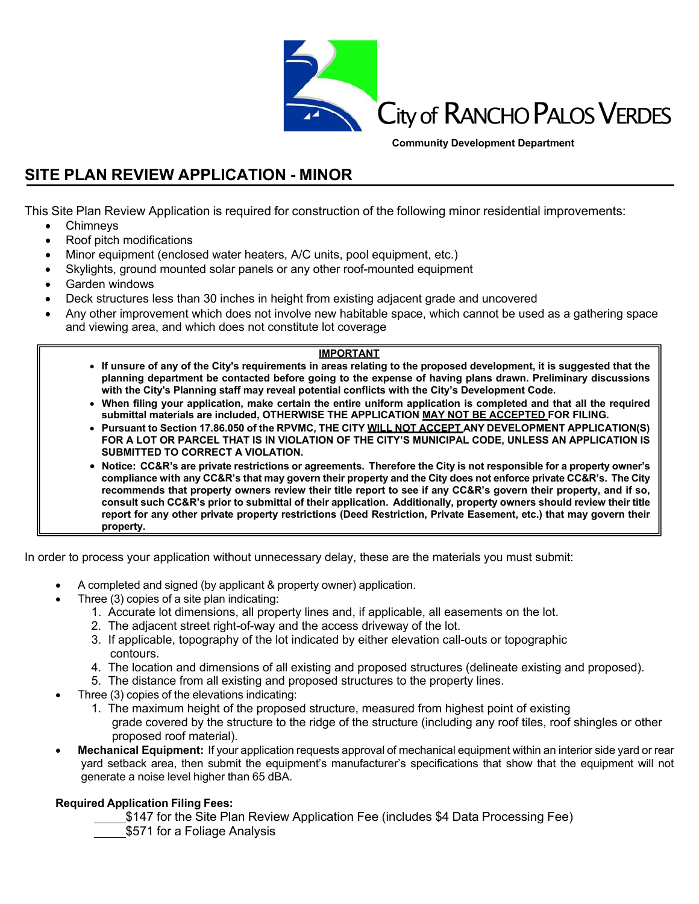

**Community Development Department**

# **SITE PLAN REVIEW APPLICATION - MINOR**

This Site Plan Review Application is required for construction of the following minor residential improvements:

- Chimneys
- Roof pitch modifications
- Minor equipment (enclosed water heaters, A/C units, pool equipment, etc.)
- Skylights, ground mounted solar panels or any other roof-mounted equipment
- Garden windows
- Deck structures less than 30 inches in height from existing adjacent grade and uncovered
- Any other improvement which does not involve new habitable space, which cannot be used as a gathering space and viewing area, and which does not constitute lot coverage

#### **IMPORTANT**

- **If unsure of any of the City's requirements in areas relating to the proposed development, it is suggested that the planning department be contacted before going to the expense of having plans drawn. Preliminary discussions with the City's Planning staff may reveal potential conflicts with the City's Development Code.**
- **When filing your application, make certain the entire uniform application is completed and that all the required submittal materials are included, OTHERWISE THE APPLICATION MAY NOT BE ACCEPTED FOR FILING.**
- **Pursuant to Section 17.86.050 of the RPVMC, THE CITY WILL NOT ACCEPT ANY DEVELOPMENT APPLICATION(S) FOR A LOT OR PARCEL THAT IS IN VIOLATION OF THE CITY'S MUNICIPAL CODE, UNLESS AN APPLICATION IS SUBMITTED TO CORRECT A VIOLATION.**
- **Notice: CC&R's are private restrictions or agreements. Therefore the City is not responsible for a property owner's compliance with any CC&R's that may govern their property and the City does not enforce private CC&R's. The City recommends that property owners review their title report to see if any CC&R's govern their property, and if so, consult such CC&R's prior to submittal of their application. Additionally, property owners should review their title report for any other private property restrictions (Deed Restriction, Private Easement, etc.) that may govern their property.**

In order to process your application without unnecessary delay, these are the materials you must submit:

- A completed and signed (by applicant & property owner) application.
- Three (3) copies of a site plan indicating:
	- 1. Accurate lot dimensions, all property lines and, if applicable, all easements on the lot.
	- 2. The adjacent street right-of-way and the access driveway of the lot.
	- 3. If applicable, topography of the lot indicated by either elevation call-outs or topographic contours.
	- 4. The location and dimensions of all existing and proposed structures (delineate existing and proposed).
	- 5. The distance from all existing and proposed structures to the property lines.
- Three (3) copies of the elevations indicating:
	- 1. The maximum height of the proposed structure, measured from highest point of existing grade covered by the structure to the ridge of the structure (including any roof tiles, roof shingles or other proposed roof material).
- **Mechanical Equipment:** If your application requests approval of mechanical equipment within an interior side yard or rear yard setback area, then submit the equipment's manufacturer's specifications that show that the equipment will not generate a noise level higher than 65 dBA.

### **Required Application Filing Fees:**

- \$147 for the Site Plan Review Application Fee (includes \$4 Data Processing Fee)
- \$571 for a Foliage Analysis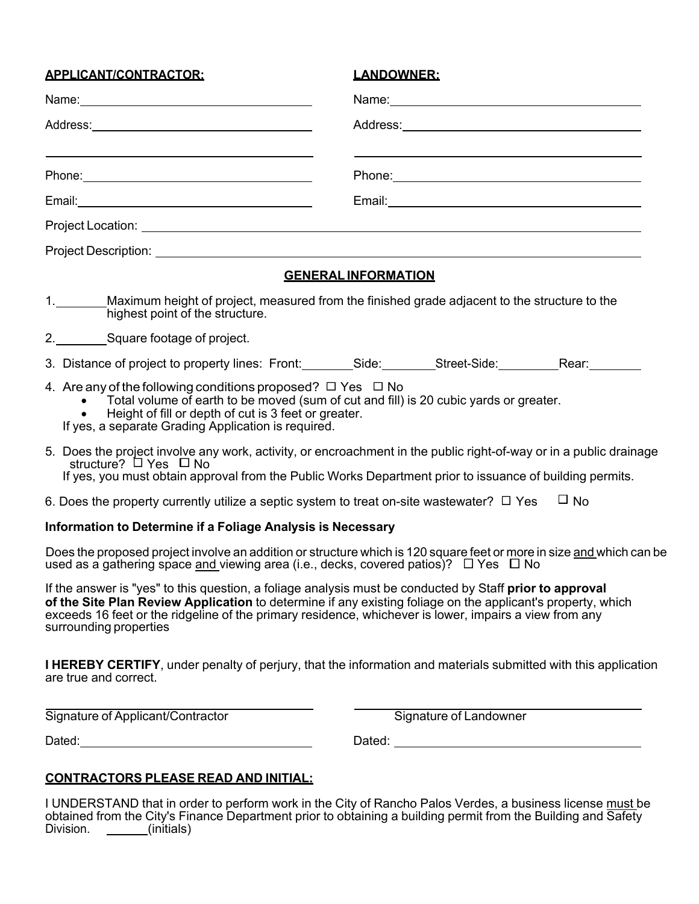| <b>APPLICANT/CONTRACTOR:</b>                                                                                                                                                                                                                                                    | <u>LANDOWNER:</u>                                                                                                                                                                                                              |
|---------------------------------------------------------------------------------------------------------------------------------------------------------------------------------------------------------------------------------------------------------------------------------|--------------------------------------------------------------------------------------------------------------------------------------------------------------------------------------------------------------------------------|
|                                                                                                                                                                                                                                                                                 | Name: Name:                                                                                                                                                                                                                    |
|                                                                                                                                                                                                                                                                                 |                                                                                                                                                                                                                                |
| and the control of the control of the control of the control of the control of the control of the control of the                                                                                                                                                                |                                                                                                                                                                                                                                |
|                                                                                                                                                                                                                                                                                 |                                                                                                                                                                                                                                |
|                                                                                                                                                                                                                                                                                 |                                                                                                                                                                                                                                |
|                                                                                                                                                                                                                                                                                 |                                                                                                                                                                                                                                |
|                                                                                                                                                                                                                                                                                 | <b>GENERAL INFORMATION</b>                                                                                                                                                                                                     |
| 1. Maximum height of project, measured from the finished grade adjacent to the structure to the<br>highest point of the structure.                                                                                                                                              |                                                                                                                                                                                                                                |
| 2. ___________Square footage of project.                                                                                                                                                                                                                                        |                                                                                                                                                                                                                                |
|                                                                                                                                                                                                                                                                                 | 3. Distance of project to property lines: Front: Side: Side: Street-Side: Rear: Rear:                                                                                                                                          |
| 4. Are any of the following conditions proposed? $\Box$ Yes $\Box$ No<br>• Total volume of earth to be moved (sum of cut and fill) is 20 cubic yards or greater.<br>Height of fill or depth of cut is 3 feet or greater.<br>If yes, a separate Grading Application is required. |                                                                                                                                                                                                                                |
| structure? $\Box$ Yes $\Box$ No                                                                                                                                                                                                                                                 | 5. Does the project involve any work, activity, or encroachment in the public right-of-way or in a public drainage<br>If yes, you must obtain approval from the Public Works Department prior to issuance of building permits. |
| 6. Does the property currently utilize a septic system to treat on-site wastewater? $\Box$ Yes                                                                                                                                                                                  | $\Box$ No                                                                                                                                                                                                                      |
| Information to Determine if a Foliage Analysis is Necessary                                                                                                                                                                                                                     |                                                                                                                                                                                                                                |

Does the proposed project involve an addition or structure which is 120 square feet or more in size and which can be used as a gathering space and viewing area (i.e., decks, covered patios)?  $\Box$  Yes  $\Box$  No

If the answer is "yes" to this question, a foliage analysis must be conducted by Staff **prior to approval of the Site Plan Review Application** to determine if any existing foliage on the applicant's property, which exceeds 16 feet or the ridgeline of the primary residence, whichever is lower, impairs a view from any surrounding properties

**I HEREBY CERTIFY**, under penalty of perjury, that the information and materials submitted with this application are true and correct.

Signature of Applicant/Contractor Signature of Landowner

Dated: Dated:

# **CONTRACTORS PLEASE READ AND INITIAL:**

I UNDERSTAND that in order to perform work in the City of Rancho Palos Verdes, a business license must be obtained from the City's Finance Department prior to obtaining a building permit from the Building and Safety Division. (initials)